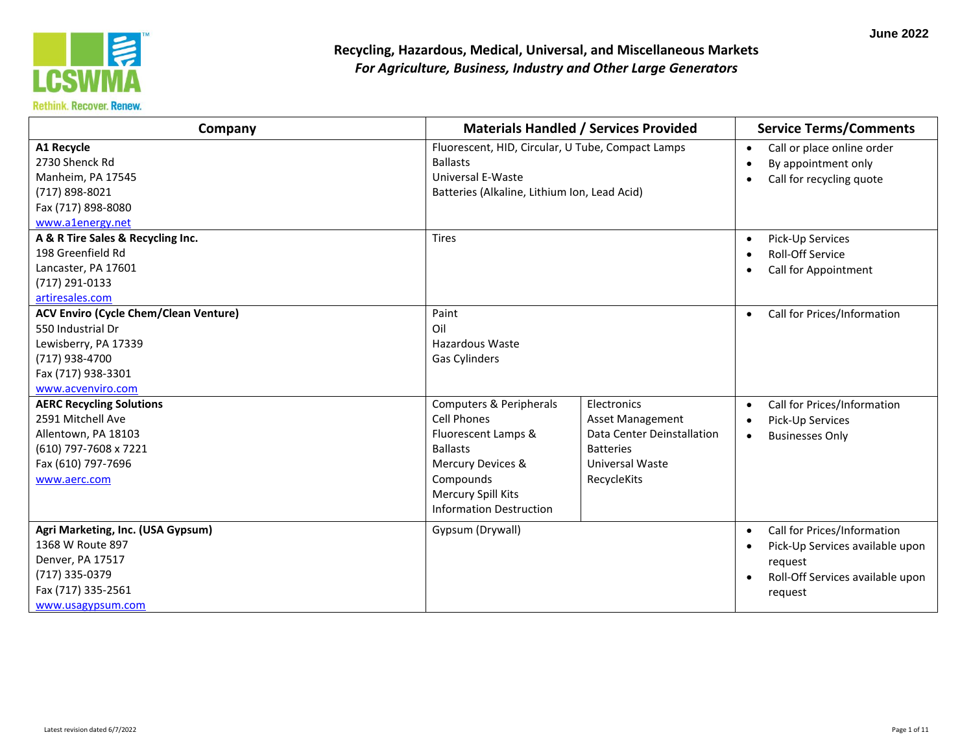

| Company                                                                                                                                                |                                                                                                                                                                                   | <b>Materials Handled / Services Provided</b>                                                                        | <b>Service Terms/Comments</b>                                                                                                         |
|--------------------------------------------------------------------------------------------------------------------------------------------------------|-----------------------------------------------------------------------------------------------------------------------------------------------------------------------------------|---------------------------------------------------------------------------------------------------------------------|---------------------------------------------------------------------------------------------------------------------------------------|
| A1 Recycle<br>2730 Shenck Rd<br>Manheim, PA 17545<br>(717) 898-8021<br>Fax (717) 898-8080<br>www.a1energy.net                                          | <b>Ballasts</b><br>Universal E-Waste                                                                                                                                              | Fluorescent, HID, Circular, U Tube, Compact Lamps<br>Batteries (Alkaline, Lithium Ion, Lead Acid)                   |                                                                                                                                       |
| A & R Tire Sales & Recycling Inc.<br>198 Greenfield Rd<br>Lancaster, PA 17601<br>(717) 291-0133<br>artiresales.com                                     | <b>Tires</b>                                                                                                                                                                      |                                                                                                                     |                                                                                                                                       |
| <b>ACV Enviro (Cycle Chem/Clean Venture)</b><br>550 Industrial Dr<br>Lewisberry, PA 17339<br>(717) 938-4700<br>Fax (717) 938-3301<br>www.acvenviro.com | Paint<br>Oil<br><b>Hazardous Waste</b><br><b>Gas Cylinders</b>                                                                                                                    |                                                                                                                     | Call for Prices/Information<br>$\bullet$                                                                                              |
| <b>AERC Recycling Solutions</b><br>2591 Mitchell Ave<br>Allentown, PA 18103<br>(610) 797-7608 x 7221<br>Fax (610) 797-7696<br>www.aerc.com             | Computers & Peripherals<br><b>Cell Phones</b><br>Fluorescent Lamps &<br><b>Ballasts</b><br>Mercury Devices &<br>Compounds<br>Mercury Spill Kits<br><b>Information Destruction</b> | Electronics<br>Asset Management<br>Data Center Deinstallation<br><b>Batteries</b><br>Universal Waste<br>RecycleKits | Call for Prices/Information<br>$\bullet$<br>Pick-Up Services<br><b>Businesses Only</b><br>$\bullet$                                   |
| Agri Marketing, Inc. (USA Gypsum)<br>1368 W Route 897<br>Denver, PA 17517<br>(717) 335-0379<br>Fax (717) 335-2561<br>www.usagypsum.com                 | Gypsum (Drywall)                                                                                                                                                                  |                                                                                                                     | Call for Prices/Information<br>$\bullet$<br>Pick-Up Services available upon<br>request<br>Roll-Off Services available upon<br>request |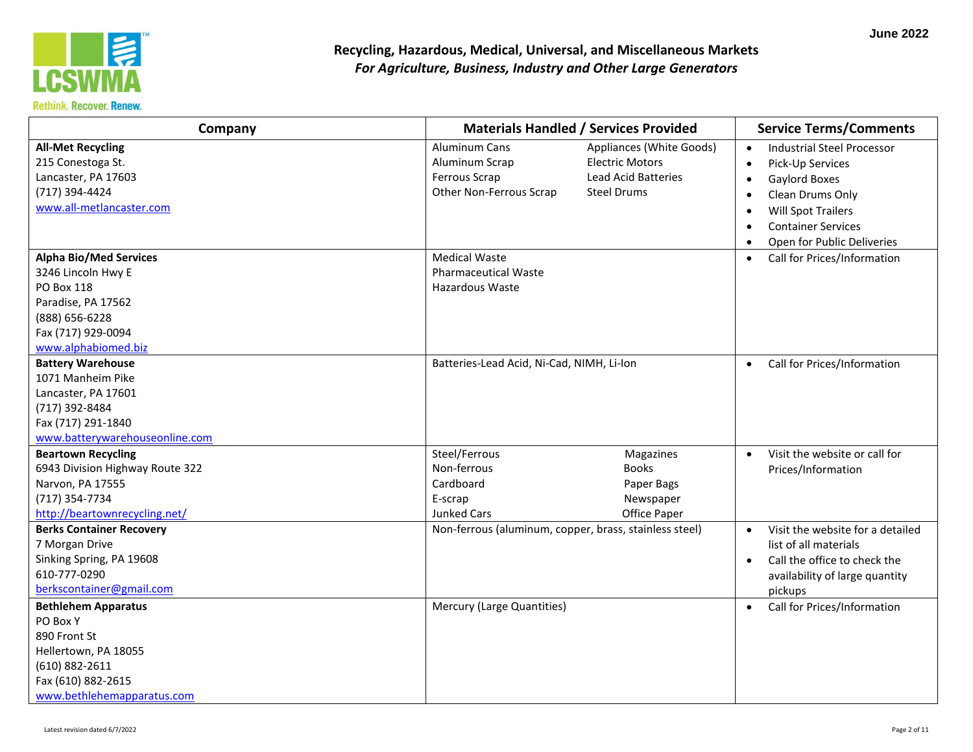

| Company                         | <b>Materials Handled / Services Provided</b>           |                            | <b>Service Terms/Comments</b>                 |
|---------------------------------|--------------------------------------------------------|----------------------------|-----------------------------------------------|
| <b>All-Met Recycling</b>        | <b>Aluminum Cans</b>                                   | Appliances (White Goods)   | <b>Industrial Steel Processor</b>             |
| 215 Conestoga St.               | Aluminum Scrap                                         | <b>Electric Motors</b>     | Pick-Up Services                              |
| Lancaster, PA 17603             | Ferrous Scrap                                          | <b>Lead Acid Batteries</b> | Gaylord Boxes                                 |
| (717) 394-4424                  | Other Non-Ferrous Scrap                                | <b>Steel Drums</b>         | Clean Drums Only                              |
| www.all-metlancaster.com        |                                                        |                            | <b>Will Spot Trailers</b>                     |
|                                 |                                                        |                            | <b>Container Services</b>                     |
|                                 |                                                        |                            | Open for Public Deliveries                    |
| <b>Alpha Bio/Med Services</b>   | <b>Medical Waste</b>                                   |                            | Call for Prices/Information<br>$\bullet$      |
| 3246 Lincoln Hwy E              | <b>Pharmaceutical Waste</b>                            |                            |                                               |
| PO Box 118                      | Hazardous Waste                                        |                            |                                               |
| Paradise, PA 17562              |                                                        |                            |                                               |
| (888) 656-6228                  |                                                        |                            |                                               |
| Fax (717) 929-0094              |                                                        |                            |                                               |
| www.alphabiomed.biz             |                                                        |                            |                                               |
| <b>Battery Warehouse</b>        | Batteries-Lead Acid, Ni-Cad, NIMH, Li-Ion              |                            | Call for Prices/Information<br>$\bullet$      |
| 1071 Manheim Pike               |                                                        |                            |                                               |
| Lancaster, PA 17601             |                                                        |                            |                                               |
| (717) 392-8484                  |                                                        |                            |                                               |
| Fax (717) 291-1840              |                                                        |                            |                                               |
| www.batterywarehouseonline.com  |                                                        |                            |                                               |
| <b>Beartown Recycling</b>       | Steel/Ferrous                                          | Magazines                  | Visit the website or call for                 |
| 6943 Division Highway Route 322 | Non-ferrous                                            | <b>Books</b>               | Prices/Information                            |
| Narvon, PA 17555                | Cardboard                                              | Paper Bags                 |                                               |
| (717) 354-7734                  | E-scrap                                                | Newspaper                  |                                               |
| http://beartownrecycling.net/   | Junked Cars                                            | Office Paper               |                                               |
| <b>Berks Container Recovery</b> | Non-ferrous (aluminum, copper, brass, stainless steel) |                            | Visit the website for a detailed<br>$\bullet$ |
| 7 Morgan Drive                  |                                                        |                            | list of all materials                         |
| Sinking Spring, PA 19608        |                                                        |                            | Call the office to check the<br>$\bullet$     |
| 610-777-0290                    |                                                        |                            | availability of large quantity                |
| berkscontainer@gmail.com        |                                                        |                            | pickups                                       |
| <b>Bethlehem Apparatus</b>      | Mercury (Large Quantities)                             |                            | Call for Prices/Information<br>$\bullet$      |
| PO Box Y                        |                                                        |                            |                                               |
| 890 Front St                    |                                                        |                            |                                               |
| Hellertown, PA 18055            |                                                        |                            |                                               |
| (610) 882-2611                  |                                                        |                            |                                               |
| Fax (610) 882-2615              |                                                        |                            |                                               |
| www.bethlehemapparatus.com      |                                                        |                            |                                               |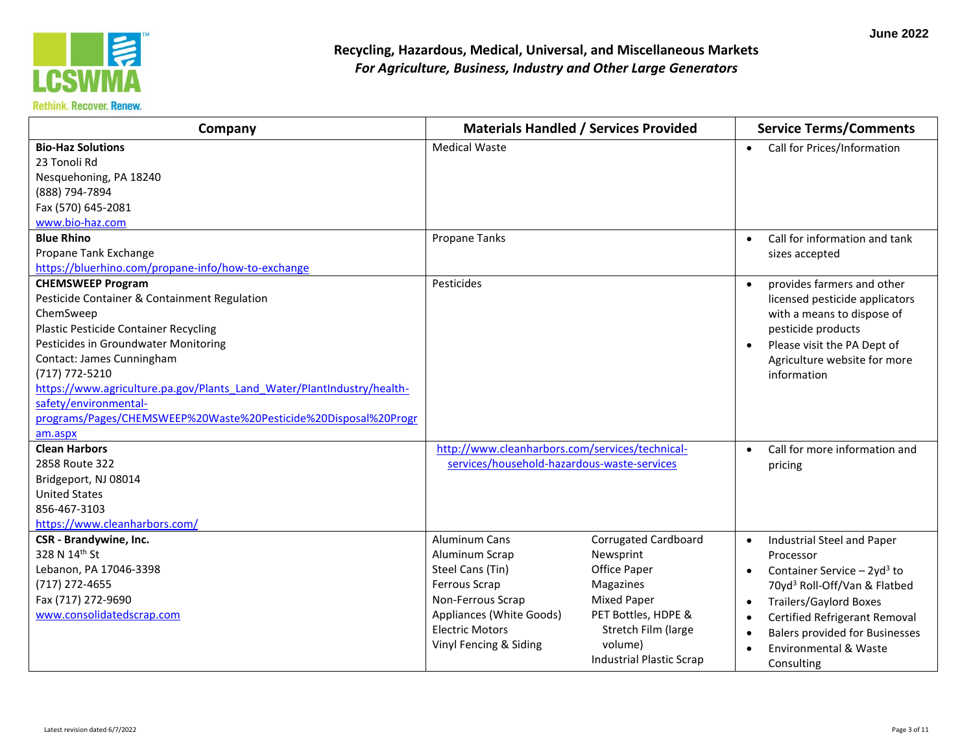

| Company                                                                                                                                                                                                                                                                                                                                                                                                       |                                                                                                                                                                           | <b>Materials Handled / Services Provided</b>                                                                                                                                     | <b>Service Terms/Comments</b>                                                                                                                                                                                                                                                                                            |
|---------------------------------------------------------------------------------------------------------------------------------------------------------------------------------------------------------------------------------------------------------------------------------------------------------------------------------------------------------------------------------------------------------------|---------------------------------------------------------------------------------------------------------------------------------------------------------------------------|----------------------------------------------------------------------------------------------------------------------------------------------------------------------------------|--------------------------------------------------------------------------------------------------------------------------------------------------------------------------------------------------------------------------------------------------------------------------------------------------------------------------|
| <b>Bio-Haz Solutions</b><br>23 Tonoli Rd<br>Nesquehoning, PA 18240<br>(888) 794-7894<br>Fax (570) 645-2081<br>www.bio-haz.com                                                                                                                                                                                                                                                                                 | <b>Medical Waste</b>                                                                                                                                                      |                                                                                                                                                                                  | Call for Prices/Information<br>$\bullet$                                                                                                                                                                                                                                                                                 |
| <b>Blue Rhino</b><br>Propane Tank Exchange<br>https://bluerhino.com/propane-info/how-to-exchange                                                                                                                                                                                                                                                                                                              | <b>Propane Tanks</b>                                                                                                                                                      |                                                                                                                                                                                  | Call for information and tank<br>sizes accepted                                                                                                                                                                                                                                                                          |
| <b>CHEMSWEEP Program</b><br>Pesticide Container & Containment Regulation<br>ChemSweep<br><b>Plastic Pesticide Container Recycling</b><br>Pesticides in Groundwater Monitoring<br>Contact: James Cunningham<br>(717) 772-5210<br>https://www.agriculture.pa.gov/Plants Land Water/PlantIndustry/health-<br>safety/environmental-<br>programs/Pages/CHEMSWEEP%20Waste%20Pesticide%20Disposal%20Progr<br>am.aspx | Pesticides                                                                                                                                                                |                                                                                                                                                                                  | provides farmers and other<br>licensed pesticide applicators<br>with a means to dispose of<br>pesticide products<br>Please visit the PA Dept of<br>$\bullet$<br>Agriculture website for more<br>information                                                                                                              |
| <b>Clean Harbors</b><br>2858 Route 322<br>Bridgeport, NJ 08014<br><b>United States</b><br>856-467-3103<br>https://www.cleanharbors.com/                                                                                                                                                                                                                                                                       | http://www.cleanharbors.com/services/technical-<br>services/household-hazardous-waste-services                                                                            |                                                                                                                                                                                  | Call for more information and<br>pricing                                                                                                                                                                                                                                                                                 |
| CSR - Brandywine, Inc.<br>328 N 14th St<br>Lebanon, PA 17046-3398<br>(717) 272-4655<br>Fax (717) 272-9690<br>www.consolidatedscrap.com                                                                                                                                                                                                                                                                        | Aluminum Cans<br>Aluminum Scrap<br>Steel Cans (Tin)<br>Ferrous Scrap<br>Non-Ferrous Scrap<br>Appliances (White Goods)<br><b>Electric Motors</b><br>Vinyl Fencing & Siding | <b>Corrugated Cardboard</b><br>Newsprint<br>Office Paper<br>Magazines<br><b>Mixed Paper</b><br>PET Bottles, HDPE &<br>Stretch Film (large<br>volume)<br>Industrial Plastic Scrap | Industrial Steel and Paper<br>$\bullet$<br>Processor<br>Container Service $-2yd^3$ to<br>$\bullet$<br>70yd <sup>3</sup> Roll-Off/Van & Flatbed<br><b>Trailers/Gaylord Boxes</b><br>Certified Refrigerant Removal<br>$\bullet$<br><b>Balers provided for Businesses</b><br><b>Environmental &amp; Waste</b><br>Consulting |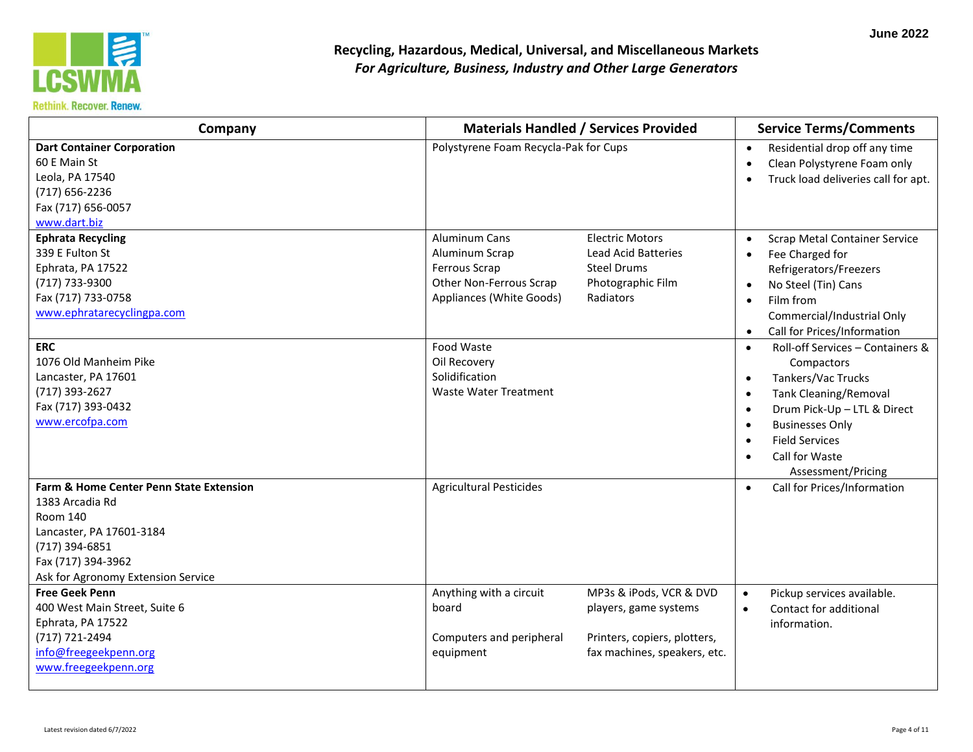

| Company                                                                                                                                                                          | <b>Materials Handled / Services Provided</b>                                                                                                                                                                                   | <b>Service Terms/Comments</b>                                                                                                                                                                                                                                                                                             |
|----------------------------------------------------------------------------------------------------------------------------------------------------------------------------------|--------------------------------------------------------------------------------------------------------------------------------------------------------------------------------------------------------------------------------|---------------------------------------------------------------------------------------------------------------------------------------------------------------------------------------------------------------------------------------------------------------------------------------------------------------------------|
| <b>Dart Container Corporation</b><br>60 E Main St<br>Leola, PA 17540<br>(717) 656-2236<br>Fax (717) 656-0057<br>www.dart.biz                                                     | Polystyrene Foam Recycla-Pak for Cups                                                                                                                                                                                          | Residential drop off any time<br>$\bullet$<br>Clean Polystyrene Foam only<br>$\bullet$<br>Truck load deliveries call for apt.<br>$\bullet$                                                                                                                                                                                |
| <b>Ephrata Recycling</b><br>339 E Fulton St<br>Ephrata, PA 17522<br>(717) 733-9300<br>Fax (717) 733-0758<br>www.ephratarecyclingpa.com                                           | Aluminum Cans<br><b>Electric Motors</b><br>Aluminum Scrap<br><b>Lead Acid Batteries</b><br><b>Ferrous Scrap</b><br><b>Steel Drums</b><br>Other Non-Ferrous Scrap<br>Photographic Film<br>Appliances (White Goods)<br>Radiators | <b>Scrap Metal Container Service</b><br>$\bullet$<br>Fee Charged for<br>$\bullet$<br>Refrigerators/Freezers<br>No Steel (Tin) Cans<br>$\bullet$<br>Film from<br>$\bullet$<br>Commercial/Industrial Only<br>Call for Prices/Information<br>$\bullet$                                                                       |
| <b>ERC</b><br>1076 Old Manheim Pike<br>Lancaster, PA 17601<br>(717) 393-2627<br>Fax (717) 393-0432<br>www.ercofpa.com                                                            | Food Waste<br>Oil Recovery<br>Solidification<br>Waste Water Treatment                                                                                                                                                          | Roll-off Services - Containers &<br>$\bullet$<br>Compactors<br>Tankers/Vac Trucks<br>$\bullet$<br><b>Tank Cleaning/Removal</b><br>$\bullet$<br>Drum Pick-Up - LTL & Direct<br>$\bullet$<br><b>Businesses Only</b><br>$\bullet$<br><b>Field Services</b><br>$\bullet$<br>Call for Waste<br>$\bullet$<br>Assessment/Pricing |
| Farm & Home Center Penn State Extension<br>1383 Arcadia Rd<br>Room 140<br>Lancaster, PA 17601-3184<br>(717) 394-6851<br>Fax (717) 394-3962<br>Ask for Agronomy Extension Service | <b>Agricultural Pesticides</b>                                                                                                                                                                                                 | Call for Prices/Information<br>$\bullet$                                                                                                                                                                                                                                                                                  |
| <b>Free Geek Penn</b><br>400 West Main Street, Suite 6<br>Ephrata, PA 17522<br>(717) 721-2494<br>info@freegeekpenn.org<br>www.freegeekpenn.org                                   | Anything with a circuit<br>MP3s & iPods, VCR & DVD<br>board<br>players, game systems<br>Printers, copiers, plotters,<br>Computers and peripheral<br>fax machines, speakers, etc.<br>equipment                                  | Pickup services available.<br>$\bullet$<br>Contact for additional<br>$\bullet$<br>information.                                                                                                                                                                                                                            |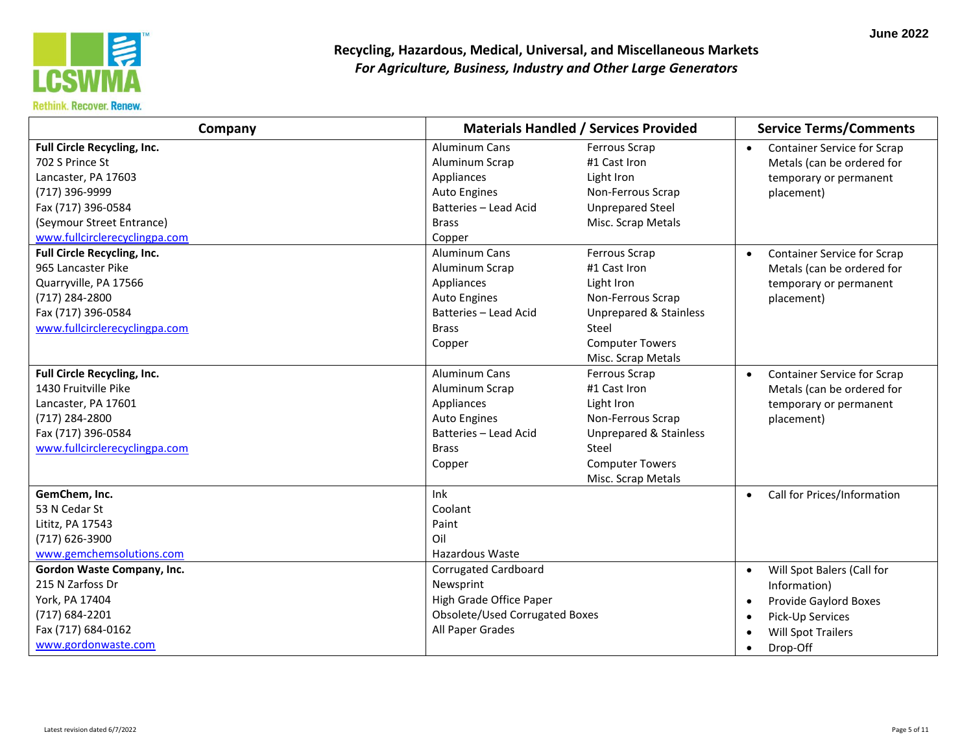

| Company                                                                                                                                                                     |                                                                                                                                | <b>Materials Handled / Services Provided</b>                                                                                                                   | <b>Service Terms/Comments</b>                                                                                                                                           |  |
|-----------------------------------------------------------------------------------------------------------------------------------------------------------------------------|--------------------------------------------------------------------------------------------------------------------------------|----------------------------------------------------------------------------------------------------------------------------------------------------------------|-------------------------------------------------------------------------------------------------------------------------------------------------------------------------|--|
| Full Circle Recycling, Inc.<br>702 S Prince St<br>Lancaster, PA 17603<br>(717) 396-9999<br>Fax (717) 396-0584<br>(Seymour Street Entrance)<br>www.fullcirclerecyclingpa.com | Aluminum Cans<br>Aluminum Scrap<br>Appliances<br><b>Auto Engines</b><br>Batteries - Lead Acid<br><b>Brass</b><br>Copper        | Ferrous Scrap<br>#1 Cast Iron<br>Light Iron<br>Non-Ferrous Scrap<br><b>Unprepared Steel</b><br>Misc. Scrap Metals                                              | <b>Container Service for Scrap</b><br>Metals (can be ordered for<br>temporary or permanent<br>placement)                                                                |  |
| Full Circle Recycling, Inc.<br>965 Lancaster Pike<br>Quarryville, PA 17566<br>(717) 284-2800<br>Fax (717) 396-0584<br>www.fullcirclerecyclingpa.com                         | Aluminum Cans<br>Aluminum Scrap<br>Appliances<br><b>Auto Engines</b><br><b>Batteries - Lead Acid</b><br><b>Brass</b><br>Copper | Ferrous Scrap<br>#1 Cast Iron<br>Light Iron<br>Non-Ferrous Scrap<br><b>Unprepared &amp; Stainless</b><br>Steel<br><b>Computer Towers</b><br>Misc. Scrap Metals | <b>Container Service for Scrap</b><br>$\bullet$<br>Metals (can be ordered for<br>temporary or permanent<br>placement)                                                   |  |
| Full Circle Recycling, Inc.<br>1430 Fruitville Pike<br>Lancaster, PA 17601<br>(717) 284-2800<br>Fax (717) 396-0584<br>www.fullcirclerecyclingpa.com                         | <b>Aluminum Cans</b><br>Aluminum Scrap<br>Appliances<br>Auto Engines<br>Batteries - Lead Acid<br><b>Brass</b><br>Copper        | Ferrous Scrap<br>#1 Cast Iron<br>Light Iron<br>Non-Ferrous Scrap<br><b>Unprepared &amp; Stainless</b><br>Steel<br><b>Computer Towers</b><br>Misc. Scrap Metals | <b>Container Service for Scrap</b><br>$\bullet$<br>Metals (can be ordered for<br>temporary or permanent<br>placement)                                                   |  |
| GemChem, Inc.<br>53 N Cedar St<br>Lititz, PA 17543<br>(717) 626-3900<br>www.gemchemsolutions.com                                                                            | Ink<br>Coolant<br>Paint<br>Oil<br>Hazardous Waste                                                                              |                                                                                                                                                                | Call for Prices/Information<br>$\bullet$                                                                                                                                |  |
| Gordon Waste Company, Inc.<br>215 N Zarfoss Dr<br>York, PA 17404<br>(717) 684-2201<br>Fax (717) 684-0162<br>www.gordonwaste.com                                             | <b>Corrugated Cardboard</b><br>Newsprint<br>High Grade Office Paper<br>Obsolete/Used Corrugated Boxes<br>All Paper Grades      |                                                                                                                                                                | Will Spot Balers (Call for<br>$\bullet$<br>Information)<br>Provide Gaylord Boxes<br>$\bullet$<br>Pick-Up Services<br>$\bullet$<br><b>Will Spot Trailers</b><br>Drop-Off |  |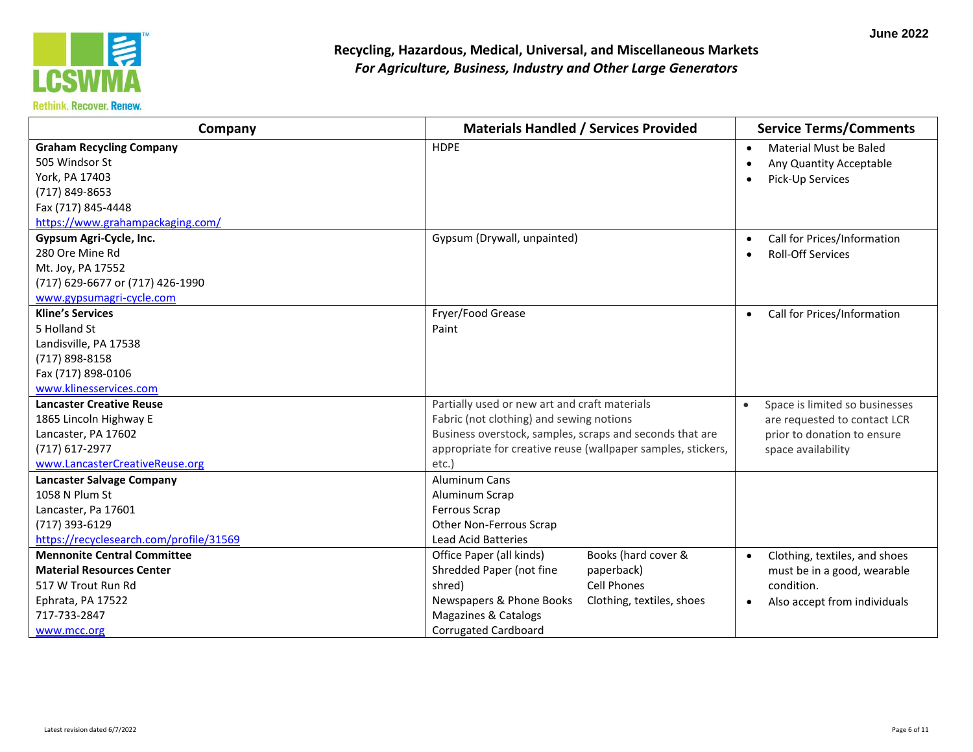

| Company                                 | <b>Materials Handled / Services Provided</b>                 | <b>Service Terms/Comments</b>               |
|-----------------------------------------|--------------------------------------------------------------|---------------------------------------------|
| <b>Graham Recycling Company</b>         | <b>HDPE</b>                                                  | Material Must be Baled<br>$\bullet$         |
| 505 Windsor St                          |                                                              | Any Quantity Acceptable                     |
| York, PA 17403                          |                                                              | Pick-Up Services                            |
| (717) 849-8653                          |                                                              |                                             |
| Fax (717) 845-4448                      |                                                              |                                             |
| https://www.grahampackaging.com/        |                                                              |                                             |
| Gypsum Agri-Cycle, Inc.                 | Gypsum (Drywall, unpainted)                                  | Call for Prices/Information<br>$\bullet$    |
| 280 Ore Mine Rd                         |                                                              | <b>Roll-Off Services</b>                    |
| Mt. Joy, PA 17552                       |                                                              |                                             |
| (717) 629-6677 or (717) 426-1990        |                                                              |                                             |
| www.gypsumagri-cycle.com                |                                                              |                                             |
| <b>Kline's Services</b>                 | Fryer/Food Grease                                            | Call for Prices/Information<br>$\bullet$    |
| 5 Holland St                            | Paint                                                        |                                             |
| Landisville, PA 17538                   |                                                              |                                             |
| (717) 898-8158                          |                                                              |                                             |
| Fax (717) 898-0106                      |                                                              |                                             |
| www.klinesservices.com                  |                                                              |                                             |
| <b>Lancaster Creative Reuse</b>         | Partially used or new art and craft materials                | Space is limited so businesses<br>$\bullet$ |
| 1865 Lincoln Highway E                  | Fabric (not clothing) and sewing notions                     | are requested to contact LCR                |
| Lancaster, PA 17602                     | Business overstock, samples, scraps and seconds that are     | prior to donation to ensure                 |
| (717) 617-2977                          | appropriate for creative reuse (wallpaper samples, stickers, | space availability                          |
| www.LancasterCreativeReuse.org          | etc.)                                                        |                                             |
| <b>Lancaster Salvage Company</b>        | <b>Aluminum Cans</b>                                         |                                             |
| 1058 N Plum St                          | Aluminum Scrap                                               |                                             |
| Lancaster, Pa 17601                     | Ferrous Scrap                                                |                                             |
| (717) 393-6129                          | Other Non-Ferrous Scrap                                      |                                             |
| https://recyclesearch.com/profile/31569 | <b>Lead Acid Batteries</b>                                   |                                             |
| <b>Mennonite Central Committee</b>      | Books (hard cover &<br>Office Paper (all kinds)              | Clothing, textiles, and shoes<br>$\bullet$  |
| <b>Material Resources Center</b>        | Shredded Paper (not fine<br>paperback)                       | must be in a good, wearable                 |
| 517 W Trout Run Rd                      | shred)<br>Cell Phones                                        | condition.                                  |
| Ephrata, PA 17522                       | Newspapers & Phone Books<br>Clothing, textiles, shoes        | Also accept from individuals<br>$\bullet$   |
| 717-733-2847                            | Magazines & Catalogs                                         |                                             |
| www.mcc.org                             | <b>Corrugated Cardboard</b>                                  |                                             |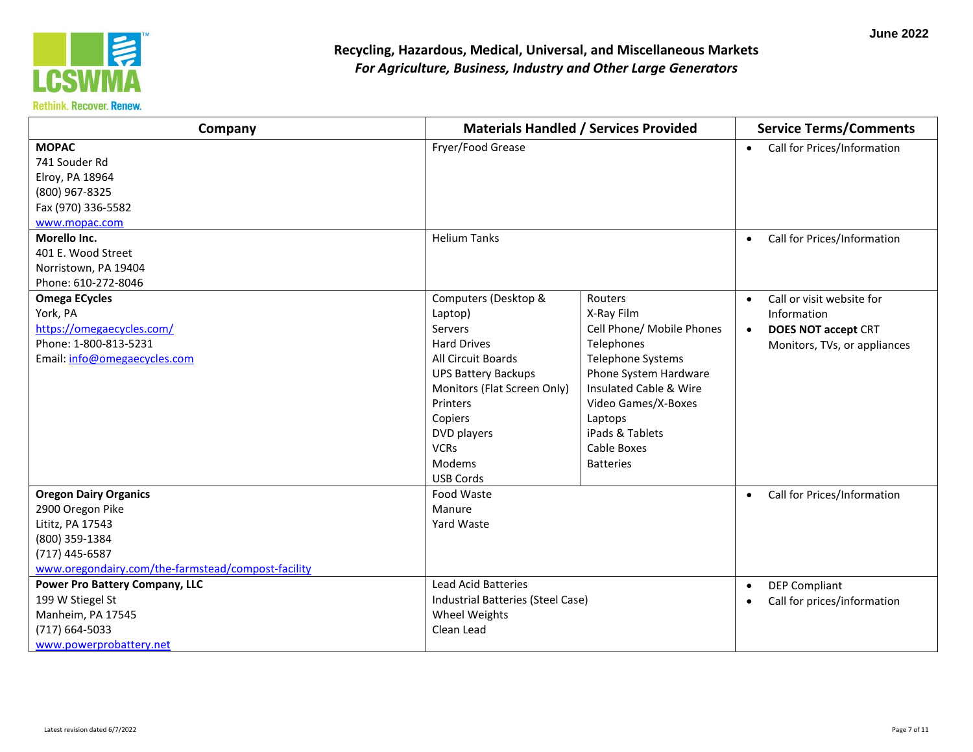

| Company                                                                                                                                                        |                                                                                                                                                                                                                                        | <b>Materials Handled / Services Provided</b>                                                                                                                                                                                            |           | <b>Service Terms/Comments</b>                                                                          |  |
|----------------------------------------------------------------------------------------------------------------------------------------------------------------|----------------------------------------------------------------------------------------------------------------------------------------------------------------------------------------------------------------------------------------|-----------------------------------------------------------------------------------------------------------------------------------------------------------------------------------------------------------------------------------------|-----------|--------------------------------------------------------------------------------------------------------|--|
| <b>MOPAC</b><br>741 Souder Rd<br>Elroy, PA 18964<br>(800) 967-8325<br>Fax (970) 336-5582<br>www.mopac.com                                                      | Fryer/Food Grease                                                                                                                                                                                                                      |                                                                                                                                                                                                                                         | $\bullet$ | Call for Prices/Information                                                                            |  |
| Morello Inc.<br>401 E. Wood Street<br>Norristown, PA 19404<br>Phone: 610-272-8046                                                                              | <b>Helium Tanks</b>                                                                                                                                                                                                                    |                                                                                                                                                                                                                                         | $\bullet$ | Call for Prices/Information                                                                            |  |
| <b>Omega ECycles</b><br>York, PA<br>https://omegaecycles.com/<br>Phone: 1-800-813-5231<br>Email: info@omegaecycles.com                                         | Computers (Desktop &<br>Laptop)<br>Servers<br><b>Hard Drives</b><br>All Circuit Boards<br><b>UPS Battery Backups</b><br>Monitors (Flat Screen Only)<br>Printers<br>Copiers<br>DVD players<br><b>VCRs</b><br>Modems<br><b>USB Cords</b> | Routers<br>X-Ray Film<br>Cell Phone/ Mobile Phones<br>Telephones<br>Telephone Systems<br>Phone System Hardware<br>Insulated Cable & Wire<br>Video Games/X-Boxes<br>Laptops<br>iPads & Tablets<br><b>Cable Boxes</b><br><b>Batteries</b> | $\bullet$ | Call or visit website for<br>Information<br><b>DOES NOT accept CRT</b><br>Monitors, TVs, or appliances |  |
| <b>Oregon Dairy Organics</b><br>2900 Oregon Pike<br>Lititz, PA 17543<br>(800) 359-1384<br>(717) 445-6587<br>www.oregondairy.com/the-farmstead/compost-facility | Food Waste<br>Manure<br>Yard Waste                                                                                                                                                                                                     |                                                                                                                                                                                                                                         | $\bullet$ | Call for Prices/Information                                                                            |  |
| <b>Power Pro Battery Company, LLC</b><br>199 W Stiegel St<br>Manheim, PA 17545<br>(717) 664-5033<br>www.powerprobattery.net                                    | <b>Lead Acid Batteries</b><br>Industrial Batteries (Steel Case)<br>Wheel Weights<br>Clean Lead                                                                                                                                         |                                                                                                                                                                                                                                         | $\bullet$ | <b>DEP Compliant</b><br>Call for prices/information                                                    |  |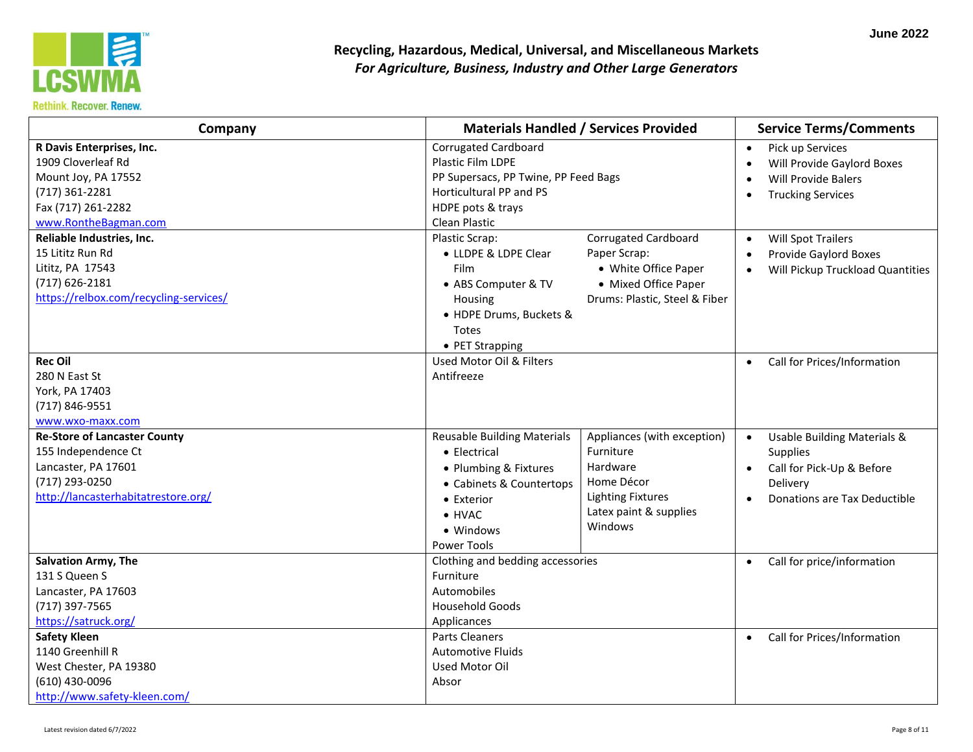

| For Agriculture, Business, Industry and Other Large Generators |                                              |                                         |
|----------------------------------------------------------------|----------------------------------------------|-----------------------------------------|
| Company                                                        | <b>Materials Handled / Services Provided</b> | <b>Service Terms/Comments</b>           |
|                                                                | <b>Corrugated Cardboard</b>                  | Pick up Services                        |
|                                                                | <b>Plastic Film LDPE</b>                     | Will Provide Gaylord Boxes<br>$\bullet$ |
|                                                                | PP Supersacs, PP Twine, PP Feed Bags         | <b>Will Provide Balers</b>              |
|                                                                | Horticultural PP and PS                      | <b>Trucking Services</b>                |

| R Davis Enterprises, Inc.<br>1909 Cloverleaf Rd<br>Mount Joy, PA 17552<br>(717) 361-2281<br>Fax (717) 261-2282<br>www.RontheBagman.com<br>Reliable Industries, Inc.<br>15 Lititz Run Rd<br>Lititz, PA 17543<br>$(717)$ 626-2181<br>https://relbox.com/recycling-services/ | <b>Corrugated Cardboard</b><br>Plastic Film LDPE<br>PP Supersacs, PP Twine, PP Feed Bags<br>Horticultural PP and PS<br>HDPE pots & trays<br>Clean Plastic<br>Plastic Scrap:<br>• LLDPE & LDPE Clear<br><b>Film</b><br>• ABS Computer & TV<br>Housing<br>• HDPE Drums, Buckets & | Corrugated Cardboard<br>Paper Scrap:<br>• White Office Paper<br>• Mixed Office Paper<br>Drums: Plastic, Steel & Fiber               | Pick up Services<br>$\bullet$<br>Will Provide Gaylord Boxes<br>$\bullet$<br>Will Provide Balers<br>$\bullet$<br><b>Trucking Services</b><br>$\bullet$<br><b>Will Spot Trailers</b><br>$\bullet$<br>Provide Gaylord Boxes<br>$\bullet$<br>Will Pickup Truckload Quantities<br>$\bullet$ |
|---------------------------------------------------------------------------------------------------------------------------------------------------------------------------------------------------------------------------------------------------------------------------|---------------------------------------------------------------------------------------------------------------------------------------------------------------------------------------------------------------------------------------------------------------------------------|-------------------------------------------------------------------------------------------------------------------------------------|----------------------------------------------------------------------------------------------------------------------------------------------------------------------------------------------------------------------------------------------------------------------------------------|
| <b>Rec Oil</b><br>280 N East St<br>York, PA 17403<br>(717) 846-9551                                                                                                                                                                                                       | Totes<br>• PET Strapping<br>Used Motor Oil & Filters<br>Antifreeze                                                                                                                                                                                                              |                                                                                                                                     | Call for Prices/Information<br>$\bullet$                                                                                                                                                                                                                                               |
| www.wxo-maxx.com<br><b>Re-Store of Lancaster County</b><br>155 Independence Ct<br>Lancaster, PA 17601<br>(717) 293-0250<br>http://lancasterhabitatrestore.org/                                                                                                            | <b>Reusable Building Materials</b><br>• Electrical<br>• Plumbing & Fixtures<br>• Cabinets & Countertops<br>• Exterior<br>$\bullet$ HVAC<br>• Windows<br><b>Power Tools</b>                                                                                                      | Appliances (with exception)<br>Furniture<br>Hardware<br>Home Décor<br><b>Lighting Fixtures</b><br>Latex paint & supplies<br>Windows | Usable Building Materials &<br>$\bullet$<br><b>Supplies</b><br>Call for Pick-Up & Before<br>$\bullet$<br>Delivery<br>Donations are Tax Deductible<br>$\bullet$                                                                                                                         |
| <b>Salvation Army, The</b><br>131 S Queen S<br>Lancaster, PA 17603<br>(717) 397-7565<br>https://satruck.org/<br><b>Safety Kleen</b>                                                                                                                                       | Clothing and bedding accessories<br>Furniture<br>Automobiles<br><b>Household Goods</b><br>Applicances<br>Parts Cleaners                                                                                                                                                         |                                                                                                                                     | Call for price/information<br>$\bullet$<br>Call for Prices/Information<br>$\bullet$                                                                                                                                                                                                    |
| 1140 Greenhill R<br>West Chester, PA 19380<br>(610) 430-0096<br>http://www.safety-kleen.com/                                                                                                                                                                              | <b>Automotive Fluids</b><br>Used Motor Oil<br>Absor                                                                                                                                                                                                                             |                                                                                                                                     |                                                                                                                                                                                                                                                                                        |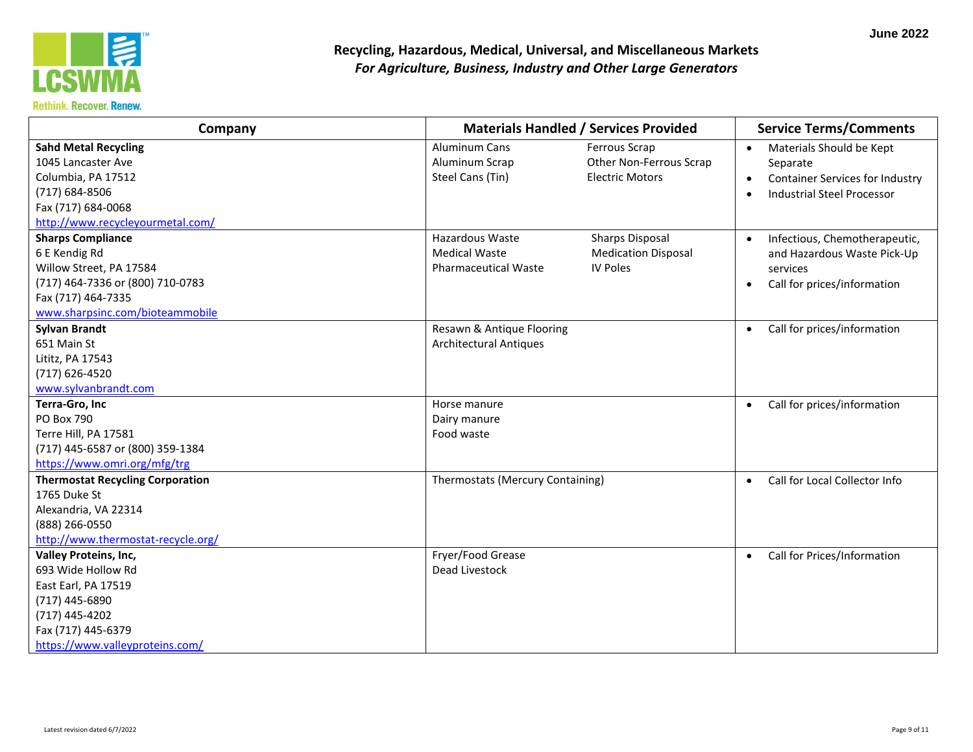

| Company                                                                                                                                                                |                                                                        | <b>Materials Handled / Services Provided</b>                            |                                                                                                                                        |
|------------------------------------------------------------------------------------------------------------------------------------------------------------------------|------------------------------------------------------------------------|-------------------------------------------------------------------------|----------------------------------------------------------------------------------------------------------------------------------------|
| <b>Sahd Metal Recycling</b><br>1045 Lancaster Ave<br>Columbia, PA 17512<br>(717) 684-8506<br>Fax (717) 684-0068<br>http://www.recycleyourmetal.com/                    | Aluminum Cans<br>Aluminum Scrap<br>Steel Cans (Tin)                    | Ferrous Scrap<br>Other Non-Ferrous Scrap<br><b>Electric Motors</b>      | Materials Should be Kept<br>$\bullet$<br>Separate<br>Container Services for Industry<br><b>Industrial Steel Processor</b><br>$\bullet$ |
| <b>Sharps Compliance</b><br>6 E Kendig Rd<br>Willow Street, PA 17584<br>(717) 464-7336 or (800) 710-0783<br>Fax (717) 464-7335<br>www.sharpsinc.com/bioteammobile      | Hazardous Waste<br><b>Medical Waste</b><br><b>Pharmaceutical Waste</b> | <b>Sharps Disposal</b><br><b>Medication Disposal</b><br><b>IV Poles</b> | Infectious, Chemotherapeutic,<br>and Hazardous Waste Pick-Up<br>services<br>Call for prices/information                                |
| <b>Sylvan Brandt</b><br>651 Main St<br>Lititz, PA 17543<br>(717) 626-4520<br>www.sylvanbrandt.com                                                                      | Resawn & Antique Flooring<br><b>Architectural Antiques</b>             |                                                                         | Call for prices/information<br>$\bullet$                                                                                               |
| Terra-Gro, Inc<br>PO Box 790<br>Terre Hill, PA 17581<br>(717) 445-6587 or (800) 359-1384<br>https://www.omri.org/mfg/trg                                               | Horse manure<br>Dairy manure<br>Food waste                             |                                                                         | Call for prices/information                                                                                                            |
| <b>Thermostat Recycling Corporation</b><br>1765 Duke St<br>Alexandria, VA 22314<br>(888) 266-0550<br>http://www.thermostat-recycle.org/                                | Thermostats (Mercury Containing)                                       |                                                                         | Call for Local Collector Info<br>$\bullet$                                                                                             |
| <b>Valley Proteins, Inc,</b><br>693 Wide Hollow Rd<br>East Earl, PA 17519<br>(717) 445-6890<br>(717) 445-4202<br>Fax (717) 445-6379<br>https://www.valleyproteins.com/ | Fryer/Food Grease<br>Dead Livestock                                    |                                                                         | Call for Prices/Information<br>$\bullet$                                                                                               |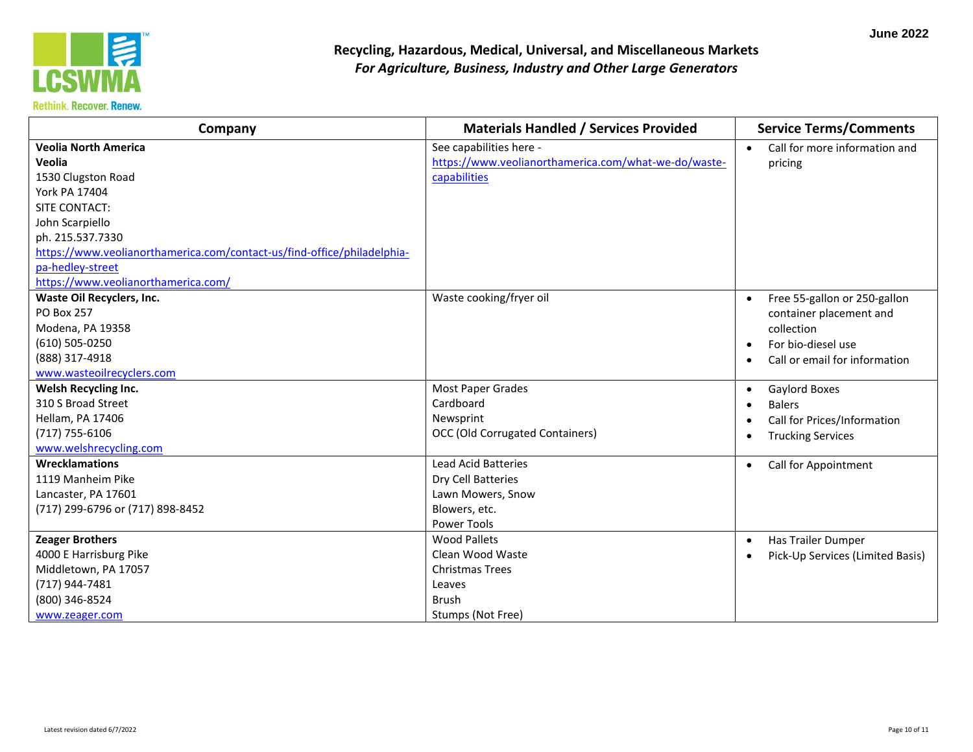

| Company                                                                 | <b>Materials Handled / Services Provided</b>         | <b>Service Terms/Comments</b>              |
|-------------------------------------------------------------------------|------------------------------------------------------|--------------------------------------------|
| <b>Veolia North America</b>                                             | See capabilities here -                              | Call for more information and<br>$\bullet$ |
| Veolia                                                                  | https://www.veolianorthamerica.com/what-we-do/waste- | pricing                                    |
| 1530 Clugston Road                                                      | capabilities                                         |                                            |
| <b>York PA 17404</b>                                                    |                                                      |                                            |
| SITE CONTACT:                                                           |                                                      |                                            |
| John Scarpiello                                                         |                                                      |                                            |
| ph. 215.537.7330                                                        |                                                      |                                            |
| https://www.veolianorthamerica.com/contact-us/find-office/philadelphia- |                                                      |                                            |
| pa-hedley-street                                                        |                                                      |                                            |
| https://www.veolianorthamerica.com/                                     |                                                      |                                            |
| Waste Oil Recyclers, Inc.                                               | Waste cooking/fryer oil                              | Free 55-gallon or 250-gallon               |
| <b>PO Box 257</b>                                                       |                                                      | container placement and                    |
| Modena, PA 19358                                                        |                                                      | collection                                 |
| (610) 505-0250                                                          |                                                      | For bio-diesel use<br>$\bullet$            |
| (888) 317-4918                                                          |                                                      | Call or email for information              |
| www.wasteoilrecyclers.com                                               |                                                      |                                            |
| <b>Welsh Recycling Inc.</b>                                             | Most Paper Grades                                    | Gaylord Boxes<br>$\bullet$                 |
| 310 S Broad Street                                                      | Cardboard                                            | <b>Balers</b><br>$\bullet$                 |
| Hellam, PA 17406                                                        | Newsprint                                            | Call for Prices/Information                |
| $(717) 755 - 6106$                                                      | <b>OCC (Old Corrugated Containers)</b>               | <b>Trucking Services</b>                   |
| www.welshrecycling.com                                                  |                                                      |                                            |
| <b>Wrecklamations</b>                                                   | <b>Lead Acid Batteries</b>                           | Call for Appointment<br>$\bullet$          |
| 1119 Manheim Pike                                                       | Dry Cell Batteries                                   |                                            |
| Lancaster, PA 17601                                                     | Lawn Mowers, Snow                                    |                                            |
| (717) 299-6796 or (717) 898-8452                                        | Blowers, etc.                                        |                                            |
|                                                                         | Power Tools                                          |                                            |
| <b>Zeager Brothers</b>                                                  | <b>Wood Pallets</b>                                  | Has Trailer Dumper<br>$\bullet$            |
| 4000 E Harrisburg Pike                                                  | Clean Wood Waste                                     | Pick-Up Services (Limited Basis)           |
| Middletown, PA 17057                                                    | <b>Christmas Trees</b>                               |                                            |
| (717) 944-7481                                                          | Leaves                                               |                                            |
| (800) 346-8524                                                          | <b>Brush</b>                                         |                                            |
| www.zeager.com                                                          | Stumps (Not Free)                                    |                                            |